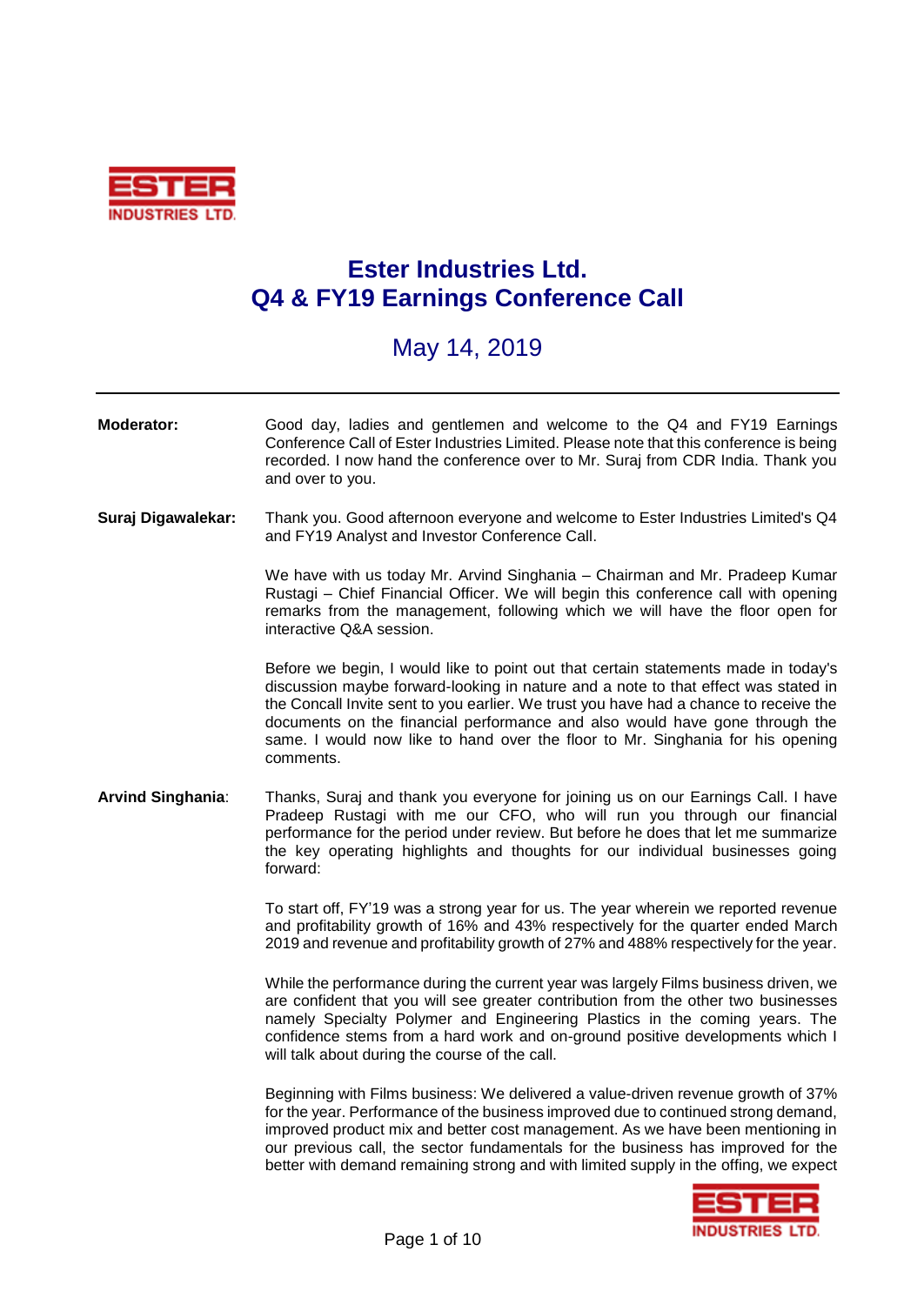

## **Ester Industries Ltd. Q4 & FY19 Earnings Conference Call**

## May 14, 2019

## **Moderator:** Good day, ladies and gentlemen and welcome to the Q4 and FY19 Earnings Conference Call of Ester Industries Limited. Please note that this conference is being recorded. I now hand the conference over to Mr. Suraj from CDR India. Thank you and over to you. **Suraj Digawalekar:** Thank you. Good afternoon everyone and welcome to Ester Industries Limited's Q4 and FY19 Analyst and Investor Conference Call.

We have with us today Mr. Arvind Singhania – Chairman and Mr. Pradeep Kumar Rustagi – Chief Financial Officer. We will begin this conference call with opening remarks from the management, following which we will have the floor open for interactive Q&A session.

Before we begin, I would like to point out that certain statements made in today's discussion maybe forward-looking in nature and a note to that effect was stated in the Concall Invite sent to you earlier. We trust you have had a chance to receive the documents on the financial performance and also would have gone through the same. I would now like to hand over the floor to Mr. Singhania for his opening comments.

**Arvind Singhania**: Thanks, Suraj and thank you everyone for joining us on our Earnings Call. I have Pradeep Rustagi with me our CFO, who will run you through our financial performance for the period under review. But before he does that let me summarize the key operating highlights and thoughts for our individual businesses going forward:

> To start off, FY'19 was a strong year for us. The year wherein we reported revenue and profitability growth of 16% and 43% respectively for the quarter ended March 2019 and revenue and profitability growth of 27% and 488% respectively for the year.

> While the performance during the current year was largely Films business driven, we are confident that you will see greater contribution from the other two businesses namely Specialty Polymer and Engineering Plastics in the coming years. The confidence stems from a hard work and on-ground positive developments which I will talk about during the course of the call.

> Beginning with Films business: We delivered a value-driven revenue growth of 37% for the year. Performance of the business improved due to continued strong demand, improved product mix and better cost management. As we have been mentioning in our previous call, the sector fundamentals for the business has improved for the better with demand remaining strong and with limited supply in the offing, we expect

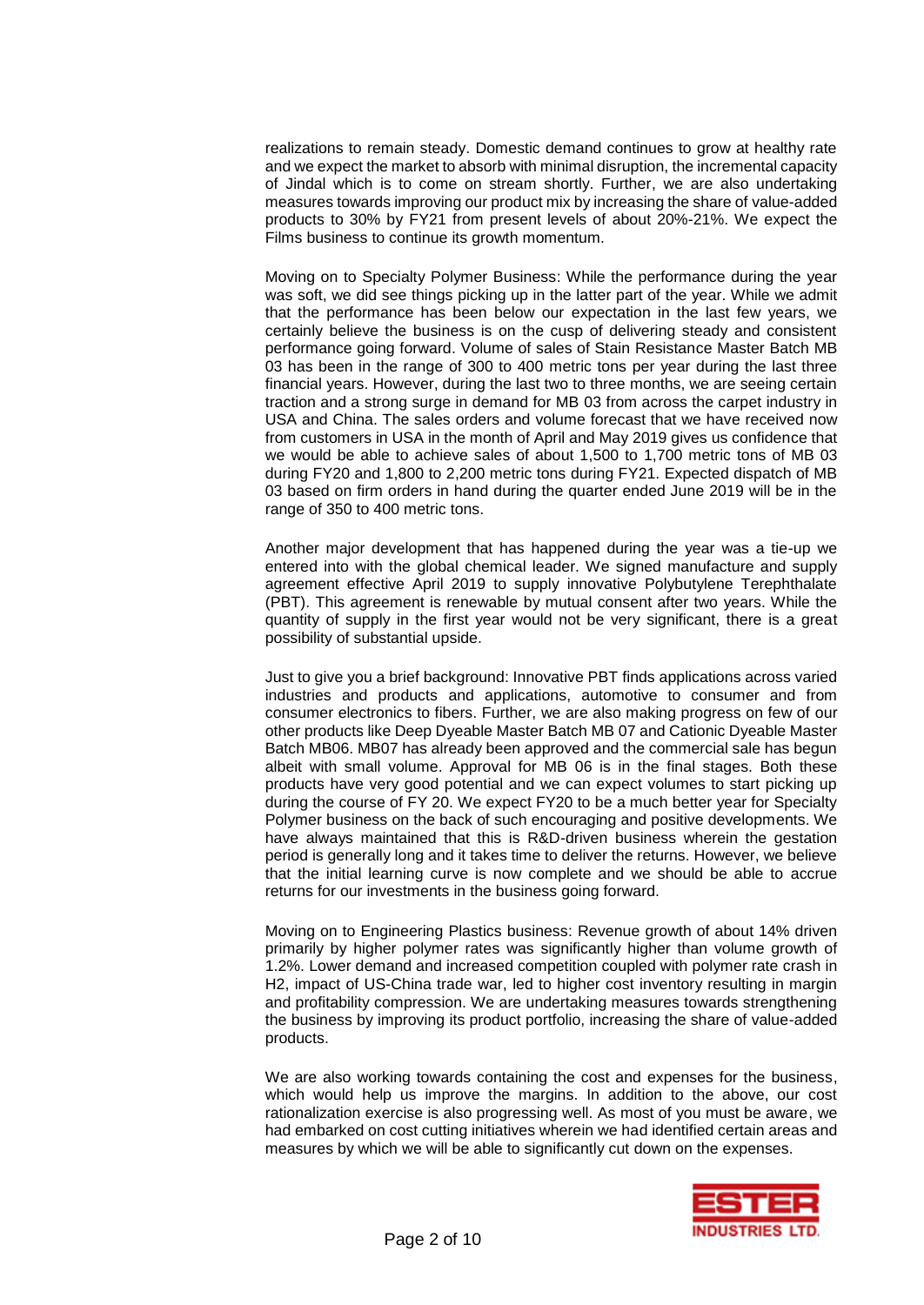realizations to remain steady. Domestic demand continues to grow at healthy rate and we expect the market to absorb with minimal disruption, the incremental capacity of Jindal which is to come on stream shortly. Further, we are also undertaking measures towards improving our product mix by increasing the share of value-added products to 30% by FY21 from present levels of about 20%-21%. We expect the Films business to continue its growth momentum.

Moving on to Specialty Polymer Business: While the performance during the year was soft, we did see things picking up in the latter part of the year. While we admit that the performance has been below our expectation in the last few years, we certainly believe the business is on the cusp of delivering steady and consistent performance going forward. Volume of sales of Stain Resistance Master Batch MB 03 has been in the range of 300 to 400 metric tons per year during the last three financial years. However, during the last two to three months, we are seeing certain traction and a strong surge in demand for MB 03 from across the carpet industry in USA and China. The sales orders and volume forecast that we have received now from customers in USA in the month of April and May 2019 gives us confidence that we would be able to achieve sales of about 1,500 to 1,700 metric tons of MB 03 during FY20 and 1,800 to 2,200 metric tons during FY21. Expected dispatch of MB 03 based on firm orders in hand during the quarter ended June 2019 will be in the range of 350 to 400 metric tons.

Another major development that has happened during the year was a tie-up we entered into with the global chemical leader. We signed manufacture and supply agreement effective April 2019 to supply innovative Polybutylene Terephthalate (PBT). This agreement is renewable by mutual consent after two years. While the quantity of supply in the first year would not be very significant, there is a great possibility of substantial upside.

Just to give you a brief background: Innovative PBT finds applications across varied industries and products and applications, automotive to consumer and from consumer electronics to fibers. Further, we are also making progress on few of our other products like Deep Dyeable Master Batch MB 07 and Cationic Dyeable Master Batch MB06. MB07 has already been approved and the commercial sale has begun albeit with small volume. Approval for MB 06 is in the final stages. Both these products have very good potential and we can expect volumes to start picking up during the course of FY 20. We expect FY20 to be a much better year for Specialty Polymer business on the back of such encouraging and positive developments. We have always maintained that this is R&D-driven business wherein the gestation period is generally long and it takes time to deliver the returns. However, we believe that the initial learning curve is now complete and we should be able to accrue returns for our investments in the business going forward.

Moving on to Engineering Plastics business: Revenue growth of about 14% driven primarily by higher polymer rates was significantly higher than volume growth of 1.2%. Lower demand and increased competition coupled with polymer rate crash in H2, impact of US-China trade war, led to higher cost inventory resulting in margin and profitability compression. We are undertaking measures towards strengthening the business by improving its product portfolio, increasing the share of value-added products.

We are also working towards containing the cost and expenses for the business, which would help us improve the margins. In addition to the above, our cost rationalization exercise is also progressing well. As most of you must be aware, we had embarked on cost cutting initiatives wherein we had identified certain areas and measures by which we will be able to significantly cut down on the expenses.

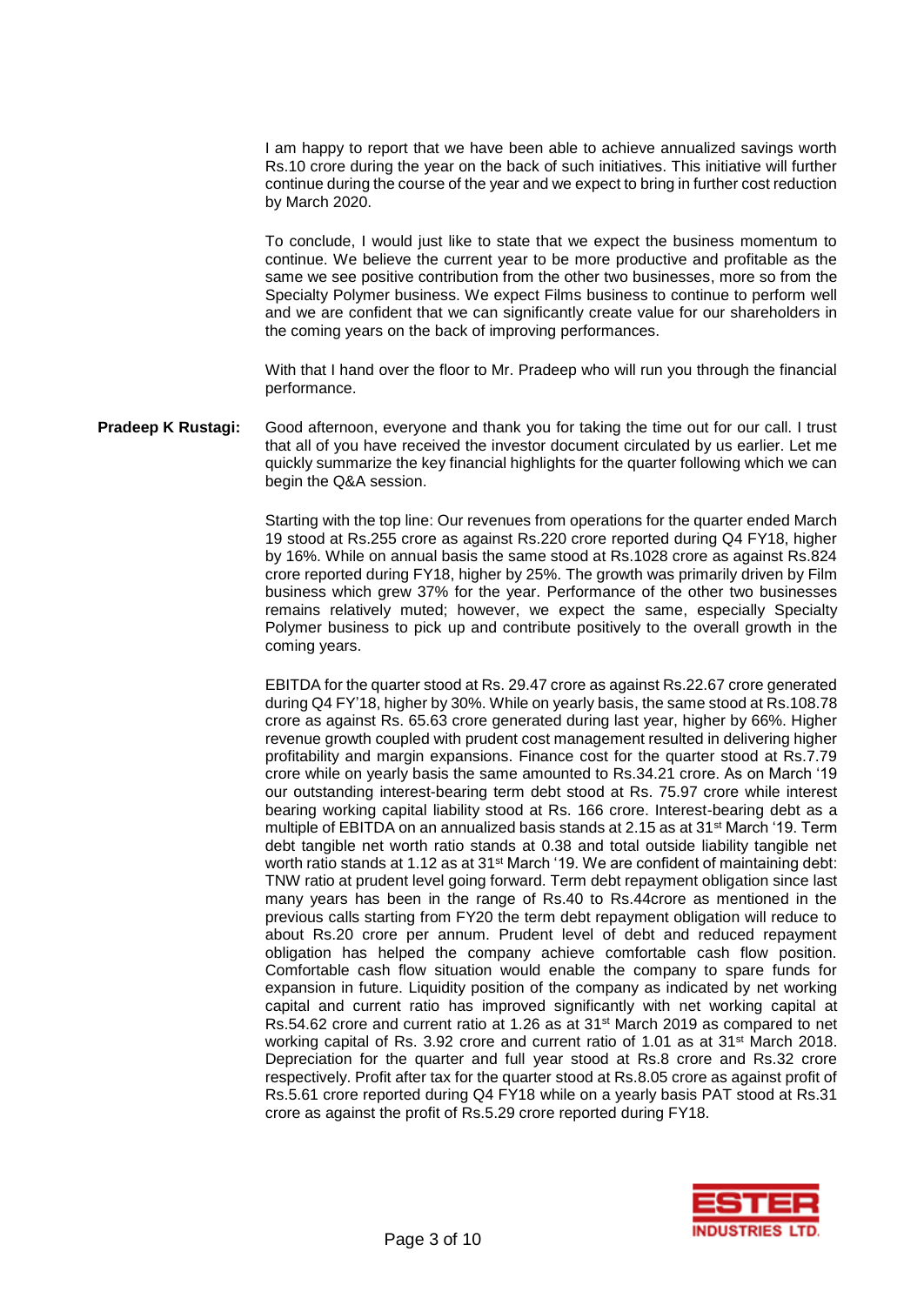I am happy to report that we have been able to achieve annualized savings worth Rs.10 crore during the year on the back of such initiatives. This initiative will further continue during the course of the year and we expect to bring in further cost reduction by March 2020.

To conclude, I would just like to state that we expect the business momentum to continue. We believe the current year to be more productive and profitable as the same we see positive contribution from the other two businesses, more so from the Specialty Polymer business. We expect Films business to continue to perform well and we are confident that we can significantly create value for our shareholders in the coming years on the back of improving performances.

With that I hand over the floor to Mr. Pradeep who will run you through the financial performance.

**Pradeep K Rustagi:** Good afternoon, everyone and thank you for taking the time out for our call. I trust that all of you have received the investor document circulated by us earlier. Let me quickly summarize the key financial highlights for the quarter following which we can begin the Q&A session.

> Starting with the top line: Our revenues from operations for the quarter ended March 19 stood at Rs.255 crore as against Rs.220 crore reported during Q4 FY18, higher by 16%. While on annual basis the same stood at Rs.1028 crore as against Rs.824 crore reported during FY18, higher by 25%. The growth was primarily driven by Film business which grew 37% for the year. Performance of the other two businesses remains relatively muted; however, we expect the same, especially Specialty Polymer business to pick up and contribute positively to the overall growth in the coming years.

> EBITDA for the quarter stood at Rs. 29.47 crore as against Rs.22.67 crore generated during Q4 FY'18, higher by 30%. While on yearly basis, the same stood at Rs.108.78 crore as against Rs. 65.63 crore generated during last year, higher by 66%. Higher revenue growth coupled with prudent cost management resulted in delivering higher profitability and margin expansions. Finance cost for the quarter stood at Rs.7.79 crore while on yearly basis the same amounted to Rs.34.21 crore. As on March '19 our outstanding interest-bearing term debt stood at Rs. 75.97 crore while interest bearing working capital liability stood at Rs. 166 crore. Interest-bearing debt as a multiple of EBITDA on an annualized basis stands at 2.15 as at 31st March '19. Term debt tangible net worth ratio stands at 0.38 and total outside liability tangible net worth ratio stands at 1.12 as at 31st March '19. We are confident of maintaining debt: TNW ratio at prudent level going forward. Term debt repayment obligation since last many years has been in the range of Rs.40 to Rs.44crore as mentioned in the previous calls starting from FY20 the term debt repayment obligation will reduce to about Rs.20 crore per annum. Prudent level of debt and reduced repayment obligation has helped the company achieve comfortable cash flow position. Comfortable cash flow situation would enable the company to spare funds for expansion in future. Liquidity position of the company as indicated by net working capital and current ratio has improved significantly with net working capital at Rs.54.62 crore and current ratio at 1.26 as at 31<sup>st</sup> March 2019 as compared to net working capital of Rs. 3.92 crore and current ratio of 1.01 as at 31st March 2018. Depreciation for the quarter and full year stood at Rs.8 crore and Rs.32 crore respectively. Profit after tax for the quarter stood at Rs.8.05 crore as against profit of Rs.5.61 crore reported during Q4 FY18 while on a yearly basis PAT stood at Rs.31 crore as against the profit of Rs.5.29 crore reported during FY18.

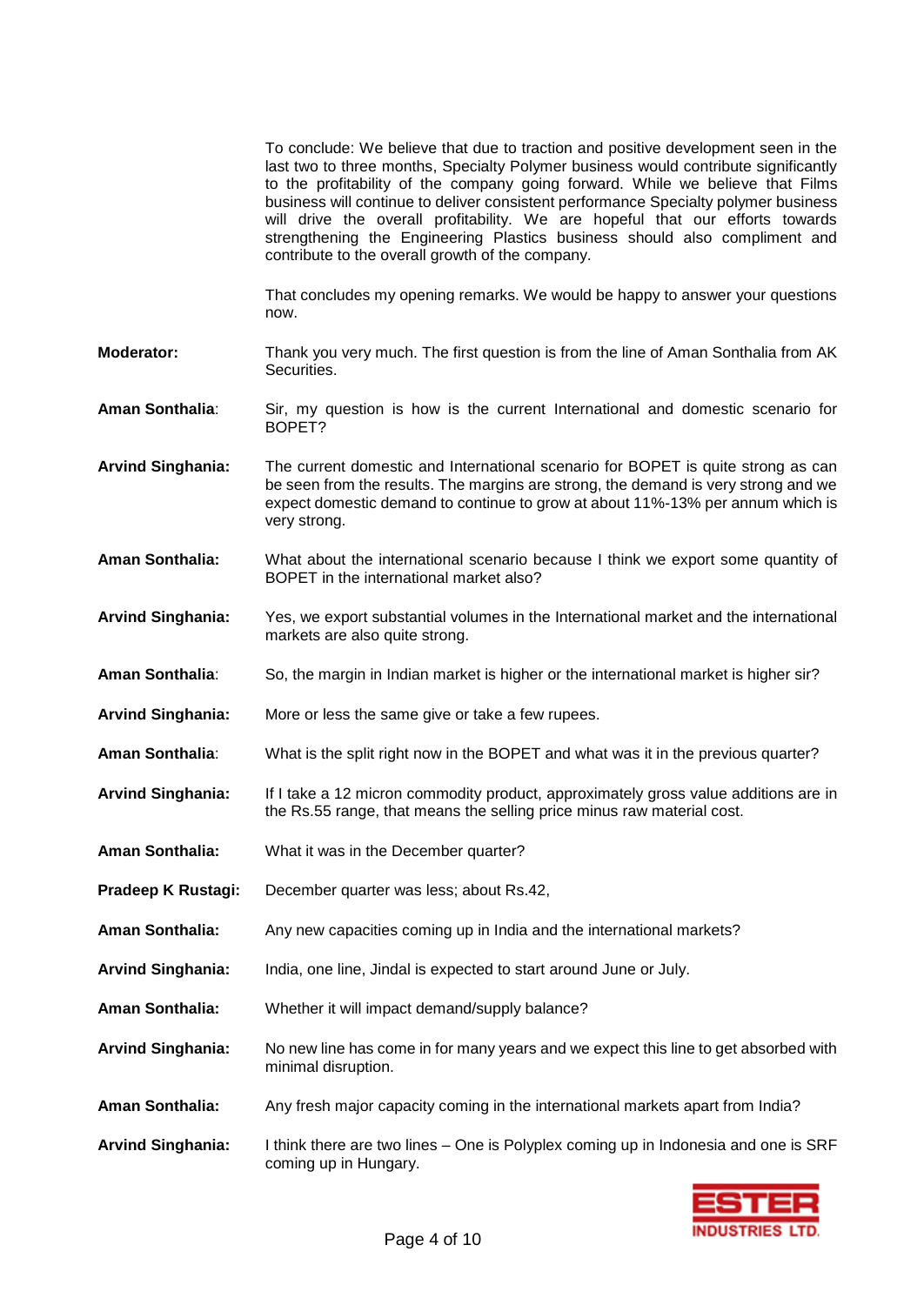|                          | To conclude: We believe that due to traction and positive development seen in the<br>last two to three months, Specialty Polymer business would contribute significantly<br>to the profitability of the company going forward. While we believe that Films<br>business will continue to deliver consistent performance Specialty polymer business<br>will drive the overall profitability. We are hopeful that our efforts towards<br>strengthening the Engineering Plastics business should also compliment and<br>contribute to the overall growth of the company. |
|--------------------------|----------------------------------------------------------------------------------------------------------------------------------------------------------------------------------------------------------------------------------------------------------------------------------------------------------------------------------------------------------------------------------------------------------------------------------------------------------------------------------------------------------------------------------------------------------------------|
|                          | That concludes my opening remarks. We would be happy to answer your questions<br>now.                                                                                                                                                                                                                                                                                                                                                                                                                                                                                |
| <b>Moderator:</b>        | Thank you very much. The first question is from the line of Aman Sonthalia from AK<br>Securities.                                                                                                                                                                                                                                                                                                                                                                                                                                                                    |
| Aman Sonthalia:          | Sir, my question is how is the current International and domestic scenario for<br>BOPET?                                                                                                                                                                                                                                                                                                                                                                                                                                                                             |
| <b>Arvind Singhania:</b> | The current domestic and International scenario for BOPET is quite strong as can<br>be seen from the results. The margins are strong, the demand is very strong and we<br>expect domestic demand to continue to grow at about 11%-13% per annum which is<br>very strong.                                                                                                                                                                                                                                                                                             |
| <b>Aman Sonthalia:</b>   | What about the international scenario because I think we export some quantity of<br>BOPET in the international market also?                                                                                                                                                                                                                                                                                                                                                                                                                                          |
| <b>Arvind Singhania:</b> | Yes, we export substantial volumes in the International market and the international<br>markets are also quite strong.                                                                                                                                                                                                                                                                                                                                                                                                                                               |
| Aman Sonthalia:          | So, the margin in Indian market is higher or the international market is higher sir?                                                                                                                                                                                                                                                                                                                                                                                                                                                                                 |
| <b>Arvind Singhania:</b> | More or less the same give or take a few rupees.                                                                                                                                                                                                                                                                                                                                                                                                                                                                                                                     |
| Aman Sonthalia:          | What is the split right now in the BOPET and what was it in the previous quarter?                                                                                                                                                                                                                                                                                                                                                                                                                                                                                    |
| <b>Arvind Singhania:</b> | If I take a 12 micron commodity product, approximately gross value additions are in<br>the Rs.55 range, that means the selling price minus raw material cost.                                                                                                                                                                                                                                                                                                                                                                                                        |
| Aman Sonthalia:          | What it was in the December quarter?                                                                                                                                                                                                                                                                                                                                                                                                                                                                                                                                 |
| Pradeep K Rustagi:       | December quarter was less; about Rs.42,                                                                                                                                                                                                                                                                                                                                                                                                                                                                                                                              |
| Aman Sonthalia:          | Any new capacities coming up in India and the international markets?                                                                                                                                                                                                                                                                                                                                                                                                                                                                                                 |
| <b>Arvind Singhania:</b> | India, one line, Jindal is expected to start around June or July.                                                                                                                                                                                                                                                                                                                                                                                                                                                                                                    |
| Aman Sonthalia:          | Whether it will impact demand/supply balance?                                                                                                                                                                                                                                                                                                                                                                                                                                                                                                                        |
| <b>Arvind Singhania:</b> | No new line has come in for many years and we expect this line to get absorbed with<br>minimal disruption.                                                                                                                                                                                                                                                                                                                                                                                                                                                           |
| Aman Sonthalia:          | Any fresh major capacity coming in the international markets apart from India?                                                                                                                                                                                                                                                                                                                                                                                                                                                                                       |
| <b>Arvind Singhania:</b> | I think there are two lines - One is Polyplex coming up in Indonesia and one is SRF<br>coming up in Hungary.                                                                                                                                                                                                                                                                                                                                                                                                                                                         |

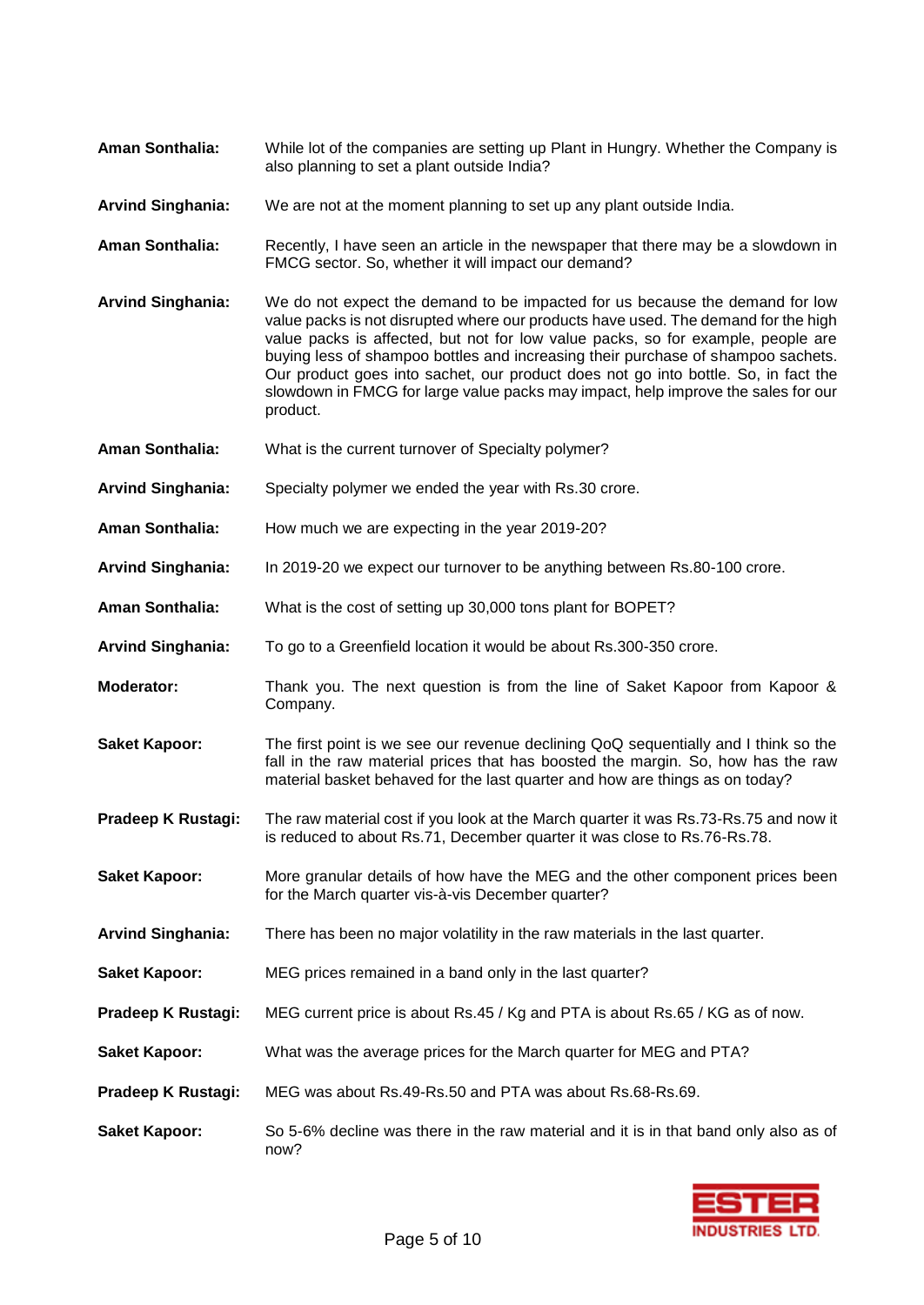| <b>Aman Sonthalia:</b>   | While lot of the companies are setting up Plant in Hungry. Whether the Company is<br>also planning to set a plant outside India?                                                                                                                                                                                                                                                                                                                                                                                                  |
|--------------------------|-----------------------------------------------------------------------------------------------------------------------------------------------------------------------------------------------------------------------------------------------------------------------------------------------------------------------------------------------------------------------------------------------------------------------------------------------------------------------------------------------------------------------------------|
| <b>Arvind Singhania:</b> | We are not at the moment planning to set up any plant outside India.                                                                                                                                                                                                                                                                                                                                                                                                                                                              |
| <b>Aman Sonthalia:</b>   | Recently, I have seen an article in the newspaper that there may be a slowdown in<br>FMCG sector. So, whether it will impact our demand?                                                                                                                                                                                                                                                                                                                                                                                          |
| <b>Arvind Singhania:</b> | We do not expect the demand to be impacted for us because the demand for low<br>value packs is not disrupted where our products have used. The demand for the high<br>value packs is affected, but not for low value packs, so for example, people are<br>buying less of shampoo bottles and increasing their purchase of shampoo sachets.<br>Our product goes into sachet, our product does not go into bottle. So, in fact the<br>slowdown in FMCG for large value packs may impact, help improve the sales for our<br>product. |
| <b>Aman Sonthalia:</b>   | What is the current turnover of Specialty polymer?                                                                                                                                                                                                                                                                                                                                                                                                                                                                                |
| <b>Arvind Singhania:</b> | Specialty polymer we ended the year with Rs.30 crore.                                                                                                                                                                                                                                                                                                                                                                                                                                                                             |
| Aman Sonthalia:          | How much we are expecting in the year 2019-20?                                                                                                                                                                                                                                                                                                                                                                                                                                                                                    |
| <b>Arvind Singhania:</b> | In 2019-20 we expect our turnover to be anything between Rs.80-100 crore.                                                                                                                                                                                                                                                                                                                                                                                                                                                         |
| <b>Aman Sonthalia:</b>   | What is the cost of setting up 30,000 tons plant for BOPET?                                                                                                                                                                                                                                                                                                                                                                                                                                                                       |
| <b>Arvind Singhania:</b> | To go to a Greenfield location it would be about Rs.300-350 crore.                                                                                                                                                                                                                                                                                                                                                                                                                                                                |
| Moderator:               | Thank you. The next question is from the line of Saket Kapoor from Kapoor &<br>Company.                                                                                                                                                                                                                                                                                                                                                                                                                                           |
| <b>Saket Kapoor:</b>     | The first point is we see our revenue declining QoQ sequentially and I think so the<br>fall in the raw material prices that has boosted the margin. So, how has the raw<br>material basket behaved for the last quarter and how are things as on today?                                                                                                                                                                                                                                                                           |
| Pradeep K Rustagi:       | The raw material cost if you look at the March quarter it was Rs.73-Rs.75 and now it<br>is reduced to about Rs.71, December quarter it was close to Rs.76-Rs.78.                                                                                                                                                                                                                                                                                                                                                                  |
| <b>Saket Kapoor:</b>     | More granular details of how have the MEG and the other component prices been<br>for the March quarter vis-à-vis December quarter?                                                                                                                                                                                                                                                                                                                                                                                                |
| <b>Arvind Singhania:</b> | There has been no major volatility in the raw materials in the last quarter.                                                                                                                                                                                                                                                                                                                                                                                                                                                      |
| <b>Saket Kapoor:</b>     | MEG prices remained in a band only in the last quarter?                                                                                                                                                                                                                                                                                                                                                                                                                                                                           |
| Pradeep K Rustagi:       | MEG current price is about Rs.45 / Kg and PTA is about Rs.65 / KG as of now.                                                                                                                                                                                                                                                                                                                                                                                                                                                      |
| <b>Saket Kapoor:</b>     | What was the average prices for the March quarter for MEG and PTA?                                                                                                                                                                                                                                                                                                                                                                                                                                                                |
| Pradeep K Rustagi:       | MEG was about Rs.49-Rs.50 and PTA was about Rs.68-Rs.69.                                                                                                                                                                                                                                                                                                                                                                                                                                                                          |
| <b>Saket Kapoor:</b>     | So 5-6% decline was there in the raw material and it is in that band only also as of<br>now?                                                                                                                                                                                                                                                                                                                                                                                                                                      |

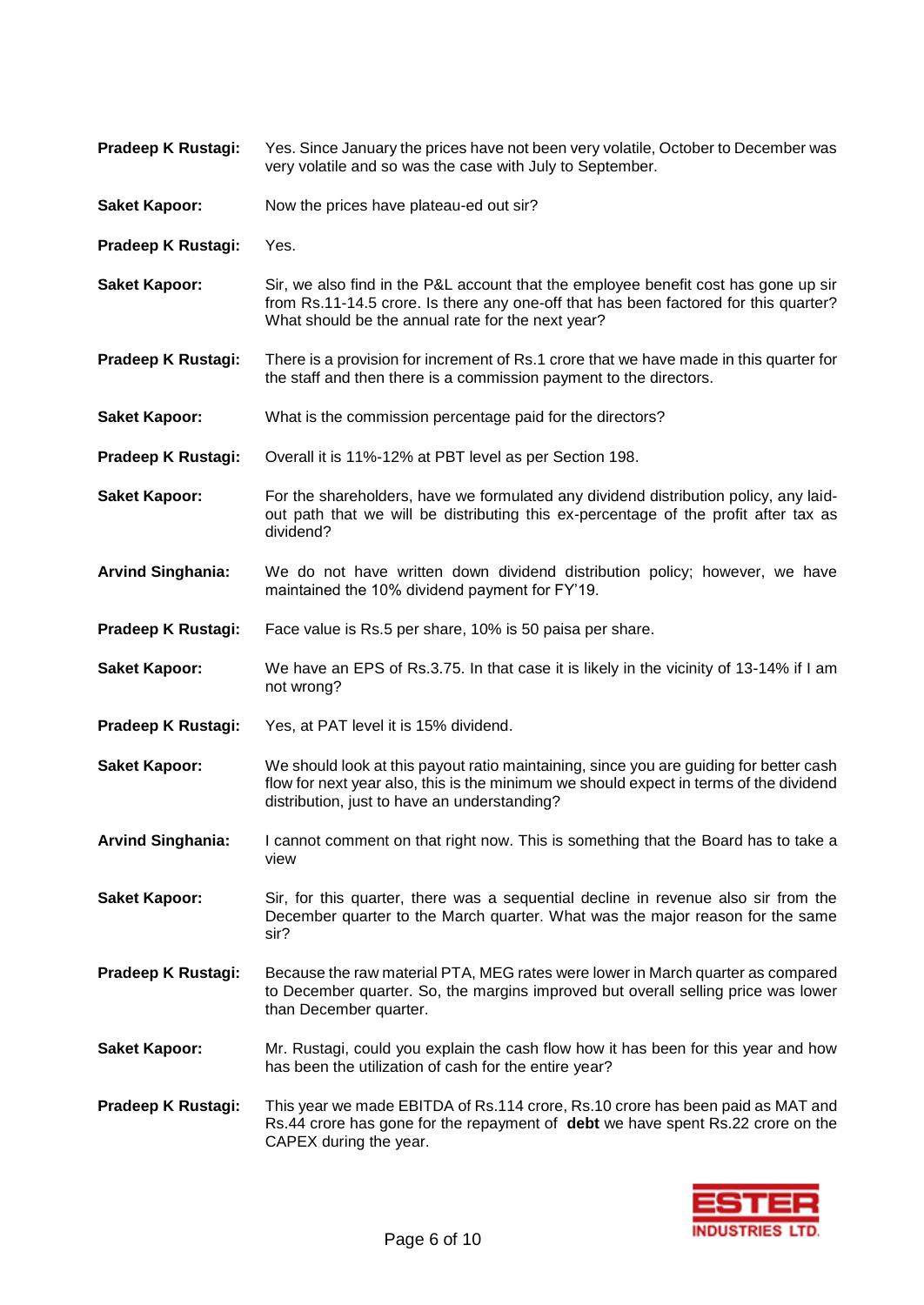| Pradeep K Rustagi:       | Yes. Since January the prices have not been very volatile, October to December was<br>very volatile and so was the case with July to September.                                                                                  |
|--------------------------|----------------------------------------------------------------------------------------------------------------------------------------------------------------------------------------------------------------------------------|
| <b>Saket Kapoor:</b>     | Now the prices have plateau-ed out sir?                                                                                                                                                                                          |
| Pradeep K Rustagi:       | Yes.                                                                                                                                                                                                                             |
| <b>Saket Kapoor:</b>     | Sir, we also find in the P&L account that the employee benefit cost has gone up sir<br>from Rs.11-14.5 crore. Is there any one-off that has been factored for this quarter?<br>What should be the annual rate for the next year? |
| Pradeep K Rustagi:       | There is a provision for increment of Rs.1 crore that we have made in this quarter for<br>the staff and then there is a commission payment to the directors.                                                                     |
| <b>Saket Kapoor:</b>     | What is the commission percentage paid for the directors?                                                                                                                                                                        |
| Pradeep K Rustagi:       | Overall it is 11%-12% at PBT level as per Section 198.                                                                                                                                                                           |
| <b>Saket Kapoor:</b>     | For the shareholders, have we formulated any dividend distribution policy, any laid-<br>out path that we will be distributing this ex-percentage of the profit after tax as<br>dividend?                                         |
| <b>Arvind Singhania:</b> | We do not have written down dividend distribution policy; however, we have<br>maintained the 10% dividend payment for FY'19.                                                                                                     |
| Pradeep K Rustagi:       | Face value is Rs.5 per share, 10% is 50 paisa per share.                                                                                                                                                                         |
| <b>Saket Kapoor:</b>     | We have an EPS of Rs.3.75. In that case it is likely in the vicinity of 13-14% if I am<br>not wrong?                                                                                                                             |
| Pradeep K Rustagi:       | Yes, at PAT level it is 15% dividend.                                                                                                                                                                                            |
| <b>Saket Kapoor:</b>     | We should look at this payout ratio maintaining, since you are guiding for better cash<br>flow for next year also, this is the minimum we should expect in terms of the dividend<br>distribution, just to have an understanding? |
| <b>Arvind Singhania:</b> | I cannot comment on that right now. This is something that the Board has to take a<br>view                                                                                                                                       |
| <b>Saket Kapoor:</b>     | Sir, for this quarter, there was a sequential decline in revenue also sir from the<br>December quarter to the March quarter. What was the major reason for the same<br>sir?                                                      |
| Pradeep K Rustagi:       | Because the raw material PTA, MEG rates were lower in March quarter as compared<br>to December quarter. So, the margins improved but overall selling price was lower<br>than December quarter.                                   |
| <b>Saket Kapoor:</b>     | Mr. Rustagi, could you explain the cash flow how it has been for this year and how<br>has been the utilization of cash for the entire year?                                                                                      |
| Pradeep K Rustagi:       | This year we made EBITDA of Rs.114 crore, Rs.10 crore has been paid as MAT and<br>Rs.44 crore has gone for the repayment of debt we have spent Rs.22 crore on the<br>CAPEX during the year.                                      |

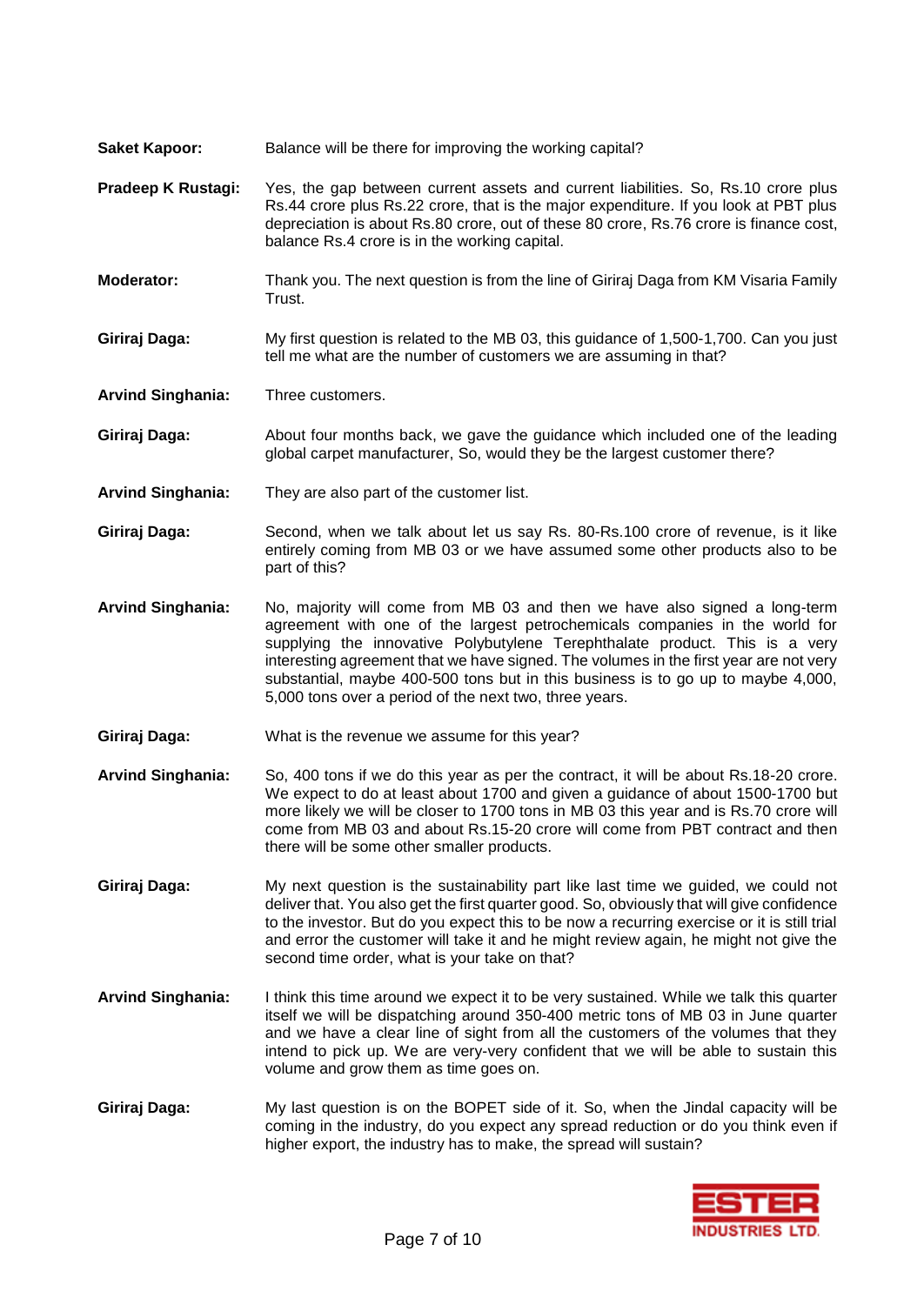- **Saket Kapoor:** Balance will be there for improving the working capital?
- **Pradeep K Rustagi:** Yes, the gap between current assets and current liabilities. So, Rs.10 crore plus Rs.44 crore plus Rs.22 crore, that is the major expenditure. If you look at PBT plus depreciation is about Rs.80 crore, out of these 80 crore, Rs.76 crore is finance cost, balance Rs.4 crore is in the working capital.
- **Moderator:** Thank you. The next question is from the line of Giriraj Daga from KM Visaria Family Trust.
- **Giriraj Daga:** My first question is related to the MB 03, this guidance of 1,500-1,700. Can you just tell me what are the number of customers we are assuming in that?

**Arvind Singhania:** Three customers.

- **Giriraj Daga:** About four months back, we gave the guidance which included one of the leading global carpet manufacturer, So, would they be the largest customer there?
- **Arvind Singhania:** They are also part of the customer list.
- **Giriraj Daga:** Second, when we talk about let us say Rs. 80-Rs.100 crore of revenue, is it like entirely coming from MB 03 or we have assumed some other products also to be part of this?
- **Arvind Singhania:** No, majority will come from MB 03 and then we have also signed a long-term agreement with one of the largest petrochemicals companies in the world for supplying the innovative Polybutylene Terephthalate product. This is a very interesting agreement that we have signed. The volumes in the first year are not very substantial, maybe 400-500 tons but in this business is to go up to maybe 4,000, 5,000 tons over a period of the next two, three years.
- **Giriraj Daga:** What is the revenue we assume for this year?
- **Arvind Singhania:** So, 400 tons if we do this year as per the contract, it will be about Rs.18-20 crore. We expect to do at least about 1700 and given a guidance of about 1500-1700 but more likely we will be closer to 1700 tons in MB 03 this year and is Rs.70 crore will come from MB 03 and about Rs.15-20 crore will come from PBT contract and then there will be some other smaller products.
- **Giriraj Daga:** My next question is the sustainability part like last time we guided, we could not deliver that. You also get the first quarter good. So, obviously that will give confidence to the investor. But do you expect this to be now a recurring exercise or it is still trial and error the customer will take it and he might review again, he might not give the second time order, what is your take on that?
- **Arvind Singhania:** I think this time around we expect it to be very sustained. While we talk this quarter itself we will be dispatching around 350-400 metric tons of MB 03 in June quarter and we have a clear line of sight from all the customers of the volumes that they intend to pick up. We are very-very confident that we will be able to sustain this volume and grow them as time goes on.
- **Giriraj Daga:** My last question is on the BOPET side of it. So, when the Jindal capacity will be coming in the industry, do you expect any spread reduction or do you think even if higher export, the industry has to make, the spread will sustain?

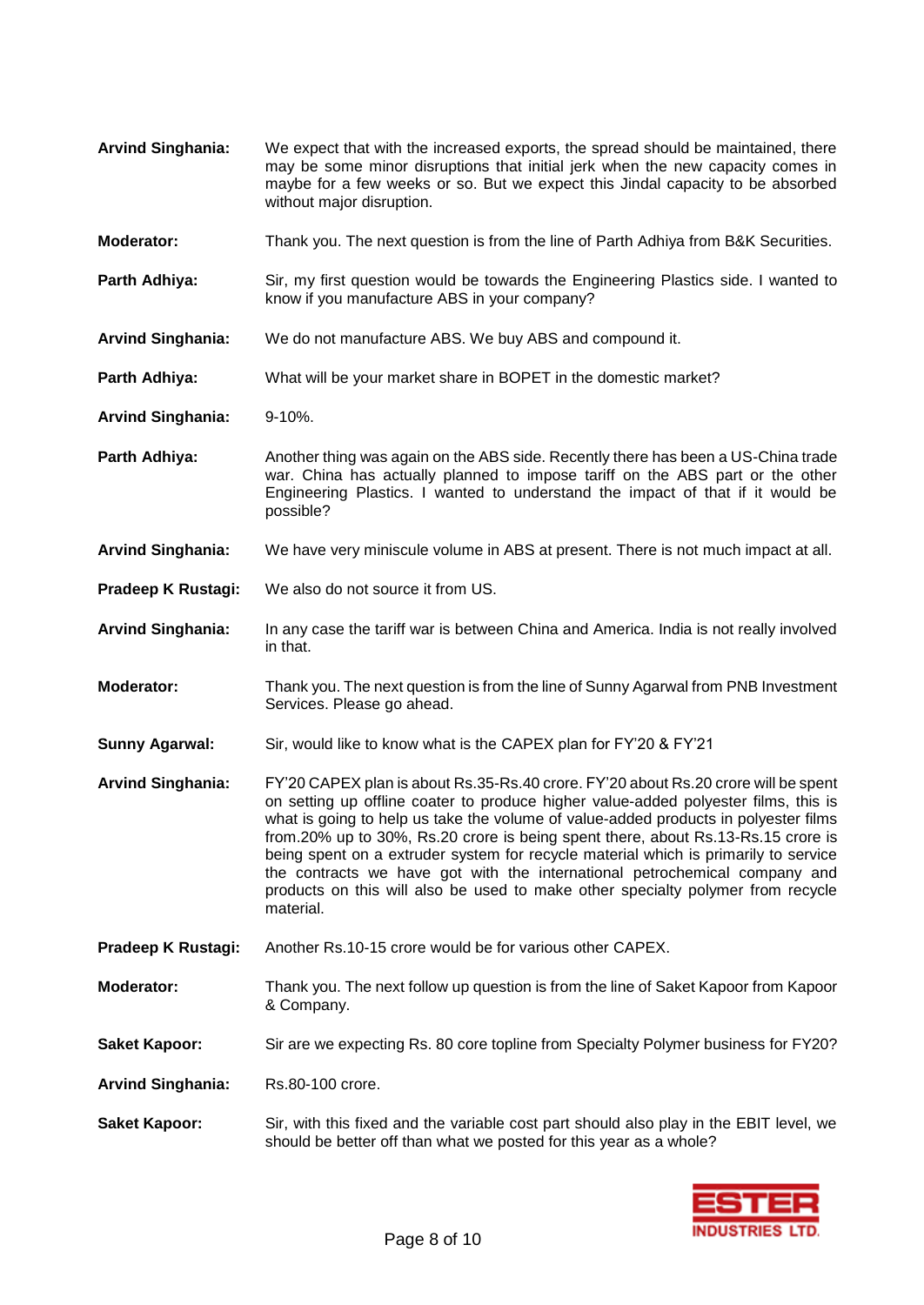**Arvind Singhania:** We expect that with the increased exports, the spread should be maintained, there may be some minor disruptions that initial jerk when the new capacity comes in maybe for a few weeks or so. But we expect this Jindal capacity to be absorbed without major disruption. **Moderator:** Thank you. The next question is from the line of Parth Adhiya from B&K Securities. **Parth Adhiya:** Sir, my first question would be towards the Engineering Plastics side. I wanted to know if you manufacture ABS in your company? **Arvind Singhania:** We do not manufacture ABS. We buy ABS and compound it. **Parth Adhiya:** What will be your market share in BOPET in the domestic market? **Arvind Singhania:** 9-10%. **Parth Adhiya:** Another thing was again on the ABS side. Recently there has been a US-China trade war. China has actually planned to impose tariff on the ABS part or the other Engineering Plastics. I wanted to understand the impact of that if it would be possible? **Arvind Singhania:** We have very miniscule volume in ABS at present. There is not much impact at all. **Pradeep K Rustagi:** We also do not source it from US. **Arvind Singhania:** In any case the tariff war is between China and America. India is not really involved in that. **Moderator:** Thank you. The next question is from the line of Sunny Agarwal from PNB Investment Services. Please go ahead. **Sunny Agarwal:** Sir, would like to know what is the CAPEX plan for FY'20 & FY'21 **Arvind Singhania:** FY'20 CAPEX plan is about Rs.35-Rs.40 crore. FY'20 about Rs.20 crore will be spent on setting up offline coater to produce higher value-added polyester films, this is what is going to help us take the volume of value-added products in polyester films from.20% up to 30%, Rs.20 crore is being spent there, about Rs.13-Rs.15 crore is being spent on a extruder system for recycle material which is primarily to service the contracts we have got with the international petrochemical company and products on this will also be used to make other specialty polymer from recycle material. **Pradeep K Rustagi:** Another Rs.10-15 crore would be for various other CAPEX. **Moderator:** Thank you. The next follow up question is from the line of Saket Kapoor from Kapoor & Company. **Saket Kapoor:** Sir are we expecting Rs. 80 core topline from Specialty Polymer business for FY20? **Arvind Singhania:** Rs.80-100 crore. **Saket Kapoor:** Sir, with this fixed and the variable cost part should also play in the EBIT level, we should be better off than what we posted for this year as a whole?

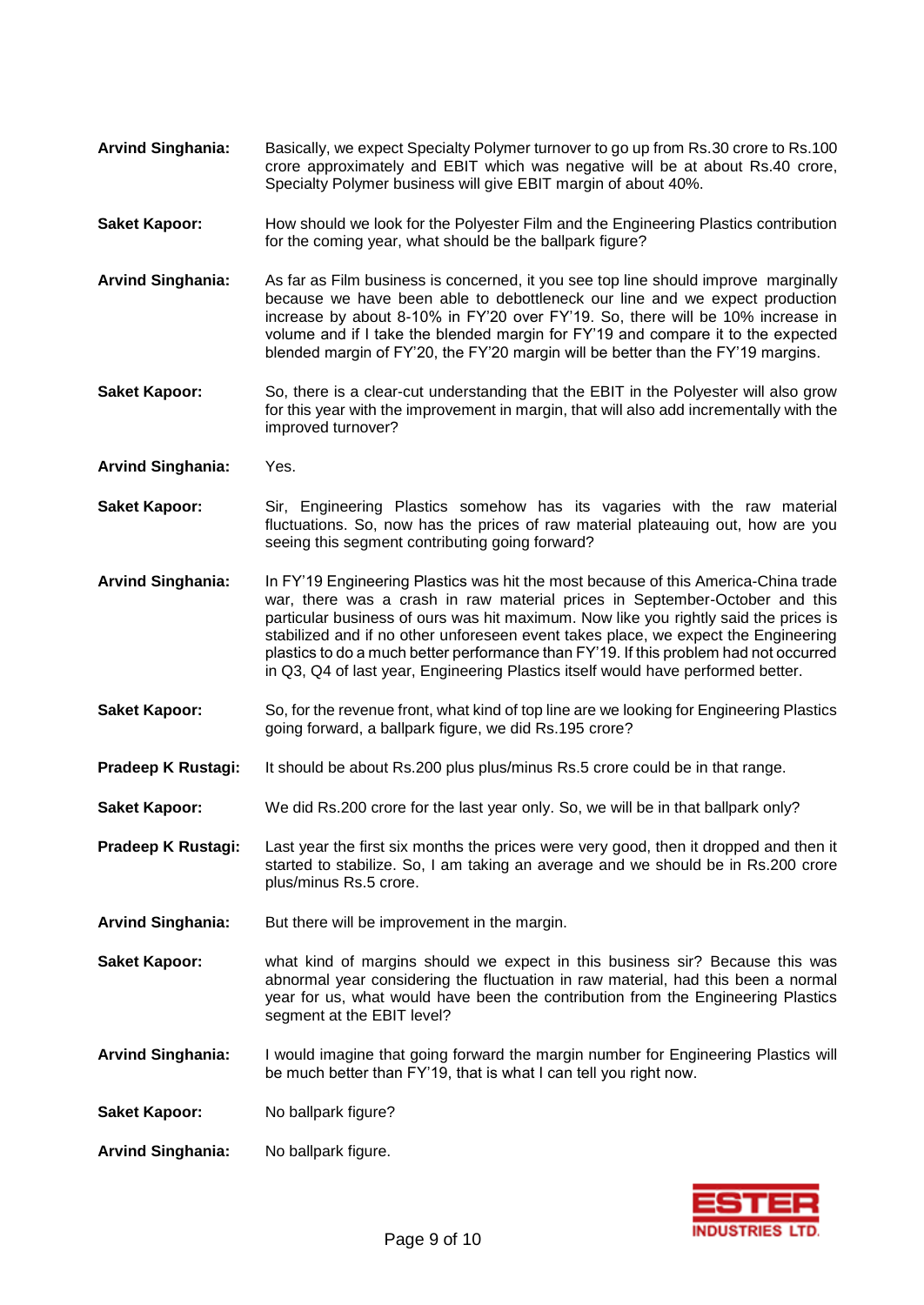- **Arvind Singhania:** Basically, we expect Specialty Polymer turnover to go up from Rs.30 crore to Rs.100 crore approximately and EBIT which was negative will be at about Rs.40 crore, Specialty Polymer business will give EBIT margin of about 40%.
- **Saket Kapoor:** How should we look for the Polyester Film and the Engineering Plastics contribution for the coming year, what should be the ballpark figure?
- **Arvind Singhania:** As far as Film business is concerned, it you see top line should improve marginally because we have been able to debottleneck our line and we expect production increase by about 8-10% in FY'20 over FY'19. So, there will be 10% increase in volume and if I take the blended margin for FY'19 and compare it to the expected blended margin of FY'20, the FY'20 margin will be better than the FY'19 margins.
- **Saket Kapoor:** So, there is a clear-cut understanding that the EBIT in the Polyester will also grow for this year with the improvement in margin, that will also add incrementally with the improved turnover?
- **Arvind Singhania:** Yes.
- **Saket Kapoor:** Sir, Engineering Plastics somehow has its vagaries with the raw material fluctuations. So, now has the prices of raw material plateauing out, how are you seeing this segment contributing going forward?
- **Arvind Singhania:** In FY'19 Engineering Plastics was hit the most because of this America-China trade war, there was a crash in raw material prices in September-October and this particular business of ours was hit maximum. Now like you rightly said the prices is stabilized and if no other unforeseen event takes place, we expect the Engineering plastics to do a much better performance than FY'19. If this problem had not occurred in Q3, Q4 of last year, Engineering Plastics itself would have performed better.
- **Saket Kapoor:** So, for the revenue front, what kind of top line are we looking for Engineering Plastics going forward, a ballpark figure, we did Rs.195 crore?
- **Pradeep K Rustagi:** It should be about Rs.200 plus plus/minus Rs.5 crore could be in that range.
- **Saket Kapoor:** We did Rs.200 crore for the last year only. So, we will be in that ballpark only?
- **Pradeep K Rustagi:** Last year the first six months the prices were very good, then it dropped and then it started to stabilize. So, I am taking an average and we should be in Rs.200 crore plus/minus Rs.5 crore.
- **Arvind Singhania:** But there will be improvement in the margin.
- **Saket Kapoor:** what kind of margins should we expect in this business sir? Because this was abnormal year considering the fluctuation in raw material, had this been a normal year for us, what would have been the contribution from the Engineering Plastics segment at the EBIT level?
- **Arvind Singhania:** I would imagine that going forward the margin number for Engineering Plastics will be much better than FY'19, that is what I can tell you right now.
- **Saket Kapoor:** No ballpark figure?
- **Arvind Singhania:** No ballpark figure.